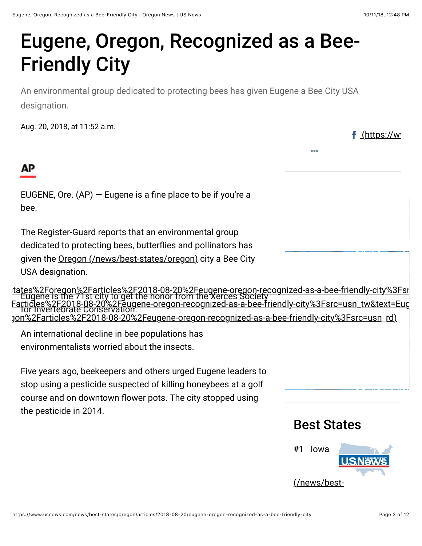<u>(https://w</u>

 $\overline{\phantom{a}}$ 

## Eugene, Oregon, Recognized as a Bee-Friendly City

An environmental group dedicated to protecting bees has given Eugene a Bee City USA designation.

Aug. 20, 2018, at 11:52 a.m.



 $\frac{1}{\sqrt{2F}}$ mit $\frac{1}{\sqrt{2F}}$ articles $\frac{1}{\sqrt{2F}}$ 

 $G+$ 

EUGENE, Ore.  $(AP)$  – Eugene is a fine place to be if you're a bee.

The Register-Guard reports that an environmental group

dedicated to protecting bees, butterflies and pollinators has

<u>vs%2**Ebest-ttet@s**&6GFro(ragevn&/bEesttistlats%26F20106H2OB/B2EeOgiene-oregon-recognized-as-a-bee-friendly-city</u>

<u>2Fore**g6¤%25sigtioles**%2F2018-08-20%2Feugene-oregon-recognized-as-a-bee-friendly-</u>

**EL1GE BOOK ZFG<br>Tugene-oregon-i** for Invertebrate Conservation. g<u>on-recognized-as-a-bee-friendly-city%3Fsr</u><br>PedOblized-as-a-bee-friendly-city%3Fsrc=u <u>\_\_\_[Farticles%2F2018-08-20%2Feugene-oregon-recognized-as-a-bee-friendly-city%3Fsrc=usn\\_tw&text=Eug](https://twitter.com/share?url=https%3A%2F%2Fwww.usnews.com%2Fnews%2Fbest-states%2Foregon%2Farticles%2F2018-08-20%2Feugene-oregon-recognized-as-a-bee-friendly-city%3Fsrc=usn_tw&text=Eugene%2C%20Oregon%2C%20Recognized%20as%20a%20Bee-Friendly%20City%20%7C%20Oregon%20News%20%7C%20US%20News)</u> h%2Farticles%2F2018-08-20%2Feugene-oregon-recognized-as-a-bee-friendl<br>0%2Feugene-oregon-recognized-as-a-bee-friendly-city%3Fsrc=usn\_rd) <u>%20City%20%7C%20Oregon%20News%20%7C%20US%20News)</u> ates%2FGneg on W2Farticles%2F2E1®E082T0%2Femgene-oregon=recognized-as-a-bee-friendly-city%3Fsrc=usn\_ (https://www.linkedin.com/shareArticle?mini=true&url=https%3A%2F%2Fwww.usnews.com%2Fnews%2Fbest-states%2Foregon%2Farticles%2F2018-08-20%2Feugene-oregon-recognized-as-a-bee-friendly-

<u>;20Ore.%bt&klayti&by&ed%be%g&es&behylati@&bla%20a%20fine%20place%20to%20be%20if%20you're%20a%</u> environmentalists worried about the insects. (https://www.stumbleupon.com/badge/?url=https%3A%2F%2Fwww.usnews.com%2Fnews%2Fbest-states%2Foregon%2Farticles%2F2018-08-20%2Feugene-oregon-recognized-as-a-bee-friendly-city%3Fsrc=usn\_su) Five years ago, beekeepers and others urged Eugene leaders to <u>ttes%2Foregon%2Farticles%2F2018-08-20%2Feugene-oregon-recognized-as-a-bee-friendly-city%3Fsrc=usn</u>\_g

stop using a pesticide suspected of killing honeybees at a golf course and on downtown flower pots. The city stopped using

the pesticide in 2014.

## Best States